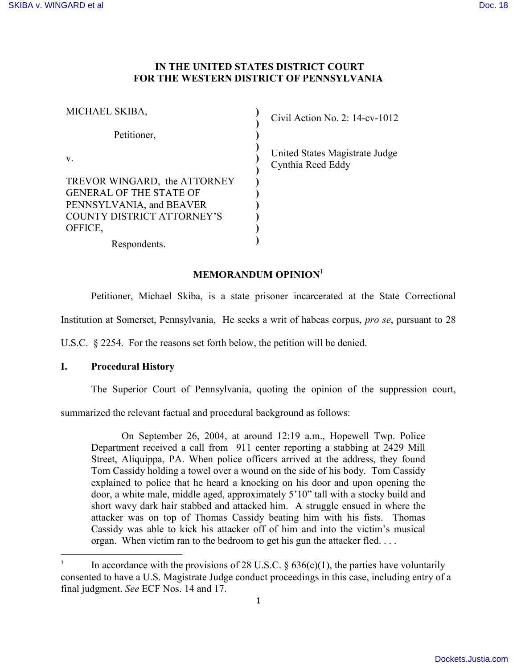# **IN THE UNITED STATES DISTRICT COURT FOR THE WESTERN DISTRICT OF PENNSYLVANIA**

 $\chi$ ivil Action No. 2: 14-cv-1012

Inited States Magistrate Judge **v**nthia Reed Eddy

# **MEMORANDUM OPINION<sup>1</sup>**

Petitioner, Michael Skiba, is a state prisoner incarcerated at the State Correctional

Institution at Somerset, Pennsylvania, He seeks a writ of habeas corpus, *pro se*, pursuant to 28

U.S.C. § 2254. For the reasons set forth below, the petition will be denied.

## **I. Procedural History**

l

The Superior Court of Pennsylvania, quoting the opinion of the suppression court,

summarized the relevant factual and procedural background as follows:

On September 26, 2004, at around 12:19 a.m., Hopewell Twp. Police Department received a call from 911 center reporting a stabbing at 2429 Mill Street, Aliquippa, PA. When police officers arrived at the address, they found Tom Cassidy holding a towel over a wound on the side of his body. Tom Cassidy explained to police that he heard a knocking on his door and upon opening the door, a white male, middle aged, approximately 5'10" tall with a stocky build and short wavy dark hair stabbed and attacked him. A struggle ensued in where the attacker was on top of Thomas Cassidy beating him with his fists. Thomas Cassidy was able to kick his attacker off of him and into the victim's musical organ. When victim ran to the bedroom to get his gun the attacker fled. . . .

<sup>1</sup> In accordance with the provisions of 28 U.S.C.  $\S$  636(c)(1), the parties have voluntarily consented to have a U.S. Magistrate Judge conduct proceedings in this case, including entry of a final judgment. *See* ECF Nos. 14 and 17.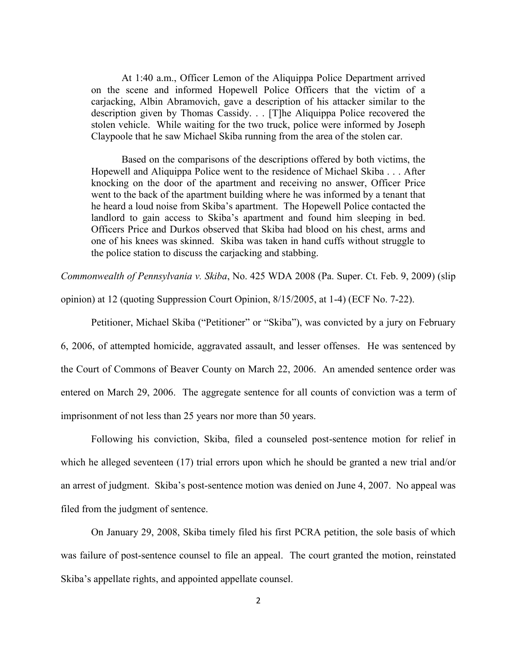At 1:40 a.m., Officer Lemon of the Aliquippa Police Department arrived on the scene and informed Hopewell Police Officers that the victim of a carjacking, Albin Abramovich, gave a description of his attacker similar to the description given by Thomas Cassidy. . . [T]he Aliquippa Police recovered the stolen vehicle. While waiting for the two truck, police were informed by Joseph Claypoole that he saw Michael Skiba running from the area of the stolen car.

Based on the comparisons of the descriptions offered by both victims, the Hopewell and Aliquippa Police went to the residence of Michael Skiba . . . After knocking on the door of the apartment and receiving no answer, Officer Price went to the back of the apartment building where he was informed by a tenant that he heard a loud noise from Skiba's apartment. The Hopewell Police contacted the landlord to gain access to Skiba's apartment and found him sleeping in bed. Officers Price and Durkos observed that Skiba had blood on his chest, arms and one of his knees was skinned. Skiba was taken in hand cuffs without struggle to the police station to discuss the carjacking and stabbing.

*Commonwealth of Pennsylvania v. Skiba*, No. 425 WDA 2008 (Pa. Super. Ct. Feb. 9, 2009) (slip

opinion) at 12 (quoting Suppression Court Opinion, 8/15/2005, at 1-4) (ECF No. 7-22).

Petitioner, Michael Skiba ("Petitioner" or "Skiba"), was convicted by a jury on February

6, 2006, of attempted homicide, aggravated assault, and lesser offenses. He was sentenced by the Court of Commons of Beaver County on March 22, 2006. An amended sentence order was entered on March 29, 2006. The aggregate sentence for all counts of conviction was a term of imprisonment of not less than 25 years nor more than 50 years.

Following his conviction, Skiba, filed a counseled post-sentence motion for relief in which he alleged seventeen (17) trial errors upon which he should be granted a new trial and/or an arrest of judgment. Skiba's post-sentence motion was denied on June 4, 2007. No appeal was filed from the judgment of sentence.

On January 29, 2008, Skiba timely filed his first PCRA petition, the sole basis of which was failure of post-sentence counsel to file an appeal. The court granted the motion, reinstated Skiba's appellate rights, and appointed appellate counsel.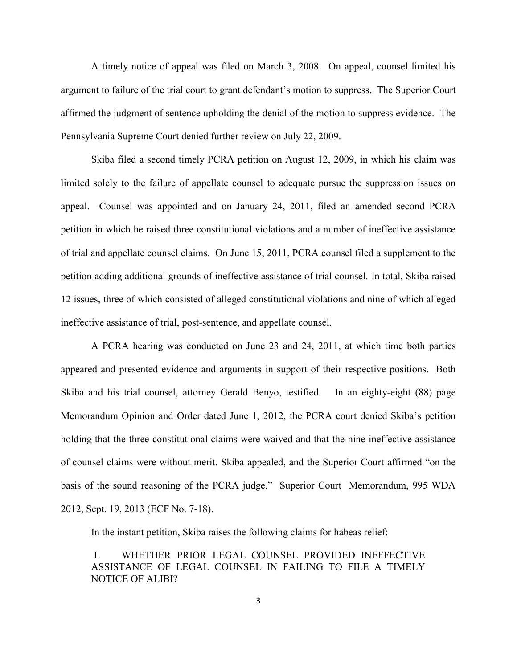A timely notice of appeal was filed on March 3, 2008. On appeal, counsel limited his argument to failure of the trial court to grant defendant's motion to suppress. The Superior Court affirmed the judgment of sentence upholding the denial of the motion to suppress evidence. The Pennsylvania Supreme Court denied further review on July 22, 2009.

Skiba filed a second timely PCRA petition on August 12, 2009, in which his claim was limited solely to the failure of appellate counsel to adequate pursue the suppression issues on appeal. Counsel was appointed and on January 24, 2011, filed an amended second PCRA petition in which he raised three constitutional violations and a number of ineffective assistance of trial and appellate counsel claims. On June 15, 2011, PCRA counsel filed a supplement to the petition adding additional grounds of ineffective assistance of trial counsel. In total, Skiba raised 12 issues, three of which consisted of alleged constitutional violations and nine of which alleged ineffective assistance of trial, post-sentence, and appellate counsel.

A PCRA hearing was conducted on June 23 and 24, 2011, at which time both parties appeared and presented evidence and arguments in support of their respective positions. Both Skiba and his trial counsel, attorney Gerald Benyo, testified. In an eighty-eight (88) page Memorandum Opinion and Order dated June 1, 2012, the PCRA court denied Skiba's petition holding that the three constitutional claims were waived and that the nine ineffective assistance of counsel claims were without merit. Skiba appealed, and the Superior Court affirmed "on the basis of the sound reasoning of the PCRA judge." Superior Court Memorandum, 995 WDA 2012, Sept. 19, 2013 (ECF No. 7-18).

In the instant petition, Skiba raises the following claims for habeas relief:

I. WHETHER PRIOR LEGAL COUNSEL PROVIDED INEFFECTIVE ASSISTANCE OF LEGAL COUNSEL IN FAILING TO FILE A TIMELY NOTICE OF ALIBI?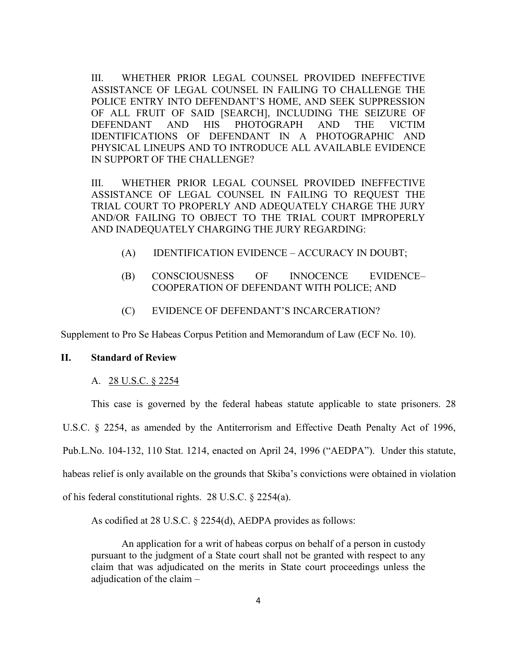III. WHETHER PRIOR LEGAL COUNSEL PROVIDED INEFFECTIVE ASSISTANCE OF LEGAL COUNSEL IN FAILING TO CHALLENGE THE POLICE ENTRY INTO DEFENDANT'S HOME, AND SEEK SUPPRESSION OF ALL FRUIT OF SAID [SEARCH], INCLUDING THE SEIZURE OF DEFENDANT AND HIS PHOTOGRAPH AND THE VICTIM IDENTIFICATIONS OF DEFENDANT IN A PHOTOGRAPHIC AND PHYSICAL LINEUPS AND TO INTRODUCE ALL AVAILABLE EVIDENCE IN SUPPORT OF THE CHALLENGE?

III. WHETHER PRIOR LEGAL COUNSEL PROVIDED INEFFECTIVE ASSISTANCE OF LEGAL COUNSEL IN FAILING TO REQUEST THE TRIAL COURT TO PROPERLY AND ADEQUATELY CHARGE THE JURY AND/OR FAILING TO OBJECT TO THE TRIAL COURT IMPROPERLY AND INADEQUATELY CHARGING THE JURY REGARDING:

- (A) IDENTIFICATION EVIDENCE ACCURACY IN DOUBT;
- (B) CONSCIOUSNESS OF INNOCENCE EVIDENCE– COOPERATION OF DEFENDANT WITH POLICE; AND
- (C) EVIDENCE OF DEFENDANT'S INCARCERATION?

Supplement to Pro Se Habeas Corpus Petition and Memorandum of Law (ECF No. 10).

#### **II. Standard of Review**

#### A. 28 U.S.C. § 2254

This case is governed by the federal habeas statute applicable to state prisoners. 28 U.S.C. § 2254, as amended by the Antiterrorism and Effective Death Penalty Act of 1996, Pub.L.No. 104-132, 110 Stat. 1214, enacted on April 24, 1996 ("AEDPA"). Under this statute, habeas relief is only available on the grounds that Skiba's convictions were obtained in violation of his federal constitutional rights. 28 U.S.C. § 2254(a).

As codified at 28 U.S.C. § 2254(d), AEDPA provides as follows:

An application for a writ of habeas corpus on behalf of a person in custody pursuant to the judgment of a State court shall not be granted with respect to any claim that was adjudicated on the merits in State court proceedings unless the adjudication of the claim –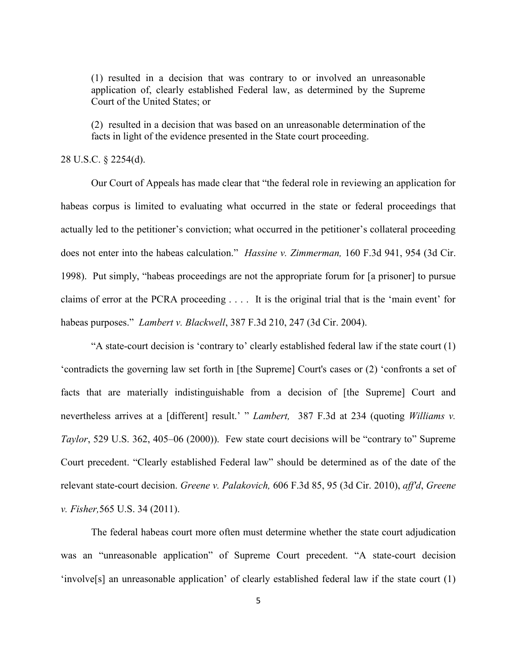(1) resulted in a decision that was contrary to or involved an unreasonable application of, clearly established Federal law, as determined by the Supreme Court of the United States; or

(2) resulted in a decision that was based on an unreasonable determination of the facts in light of the evidence presented in the State court proceeding.

### 28 U.S.C. § 2254(d).

Our Court of Appeals has made clear that "the federal role in reviewing an application for habeas corpus is limited to evaluating what occurred in the state or federal proceedings that actually led to the petitioner's conviction; what occurred in the petitioner's collateral proceeding does not enter into the habeas calculation." *Hassine v. Zimmerman,* 160 F.3d 941, 954 (3d Cir. 1998). Put simply, "habeas proceedings are not the appropriate forum for [a prisoner] to pursue claims of error at the PCRA proceeding . . . . It is the original trial that is the 'main event' for habeas purposes." *Lambert v. Blackwell*, 387 F.3d 210, 247 (3d Cir. 2004).

"A state-court decision is 'contrary to' clearly established federal law if the state court (1) 'contradicts the governing law set forth in [the Supreme] Court's cases or (2) 'confronts a set of facts that are materially indistinguishable from a decision of [the Supreme] Court and nevertheless arrives at a [different] result.' " *Lambert*, 387 F.3d at 234 (quoting *Williams v. Taylor*, 529 U.S. 362, 405–06 (2000)). Few state court decisions will be "contrary to" Supreme Court precedent. "Clearly established Federal law" should be determined as of the date of the relevant state-court decision. *Greene v. Palakovich,* 606 F.3d 85, 95 (3d Cir. 2010), *aff'd*, *Greene v. Fisher,*565 U.S. 34 (2011).

The federal habeas court more often must determine whether the state court adjudication was an "unreasonable application" of Supreme Court precedent. "A state-court decision 'involve[s] an unreasonable application' of clearly established federal law if the state court (1)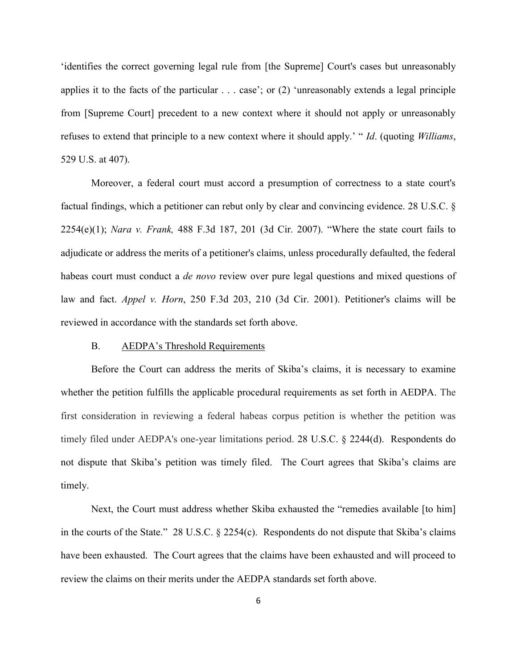'identifies the correct governing legal rule from [the Supreme] Court's cases but unreasonably applies it to the facts of the particular . . . case'; or (2) 'unreasonably extends a legal principle from [Supreme Court] precedent to a new context where it should not apply or unreasonably refuses to extend that principle to a new context where it should apply.' " *Id*. (quoting *Williams*, 529 U.S. at 407).

Moreover, a federal court must accord a presumption of correctness to a state court's factual findings, which a petitioner can rebut only by clear and convincing evidence. 28 U.S.C. § 2254(e)(1); *Nara v. Frank,* 488 F.3d 187, 201 (3d Cir. 2007). "Where the state court fails to adjudicate or address the merits of a petitioner's claims, unless procedurally defaulted, the federal habeas court must conduct a *de novo* review over pure legal questions and mixed questions of law and fact. *Appel v. Horn*, 250 F.3d 203, 210 (3d Cir. 2001). Petitioner's claims will be reviewed in accordance with the standards set forth above.

#### B. AEDPA's Threshold Requirements

Before the Court can address the merits of Skiba's claims, it is necessary to examine whether the petition fulfills the applicable procedural requirements as set forth in AEDPA. The first consideration in reviewing a federal habeas corpus petition is whether the petition was timely filed under AEDPA's one-year limitations period. 28 U.S.C. § 2244(d). Respondents do not dispute that Skiba's petition was timely filed. The Court agrees that Skiba's claims are timely.

Next, the Court must address whether Skiba exhausted the "remedies available [to him] in the courts of the State." 28 U.S.C. § 2254(c). Respondents do not dispute that Skiba's claims have been exhausted. The Court agrees that the claims have been exhausted and will proceed to review the claims on their merits under the AEDPA standards set forth above.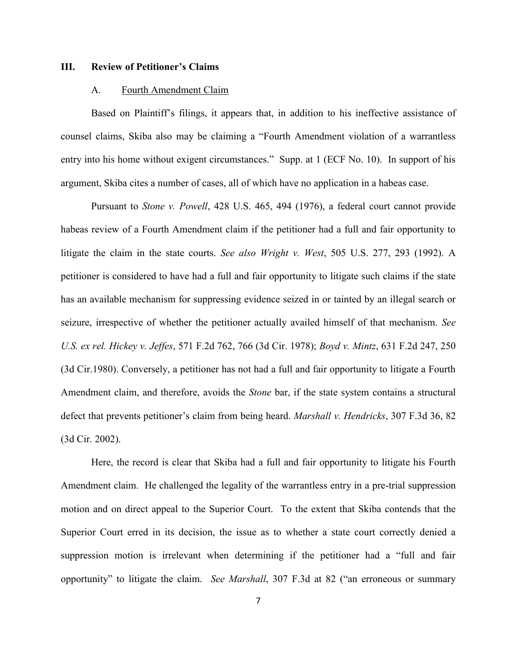#### **III. Review of Petitioner's Claims**

#### A. Fourth Amendment Claim

Based on Plaintiff's filings, it appears that, in addition to his ineffective assistance of counsel claims, Skiba also may be claiming a "Fourth Amendment violation of a warrantless entry into his home without exigent circumstances." Supp. at 1 (ECF No. 10). In support of his argument, Skiba cites a number of cases, all of which have no application in a habeas case.

Pursuant to *Stone v. Powell*, 428 U.S. 465, 494 (1976), a federal court cannot provide habeas review of a Fourth Amendment claim if the petitioner had a full and fair opportunity to litigate the claim in the state courts. *See also Wright v. West*, 505 U.S. 277, 293 (1992). A petitioner is considered to have had a full and fair opportunity to litigate such claims if the state has an available mechanism for suppressing evidence seized in or tainted by an illegal search or seizure, irrespective of whether the petitioner actually availed himself of that mechanism. *See U.S. ex rel. Hickey v. Jeffes*, 571 F.2d 762, 766 (3d Cir. 1978); *Boyd v. Mintz*, 631 F.2d 247, 250 (3d Cir.1980). Conversely, a petitioner has not had a full and fair opportunity to litigate a Fourth Amendment claim, and therefore, avoids the *Stone* bar, if the state system contains a structural defect that prevents petitioner's claim from being heard. *Marshall v. Hendricks*, 307 F.3d 36, 82 (3d Cir. 2002).

Here, the record is clear that Skiba had a full and fair opportunity to litigate his Fourth Amendment claim. He challenged the legality of the warrantless entry in a pre-trial suppression motion and on direct appeal to the Superior Court. To the extent that Skiba contends that the Superior Court erred in its decision, the issue as to whether a state court correctly denied a suppression motion is irrelevant when determining if the petitioner had a "full and fair opportunity" to litigate the claim. *See Marshall*, 307 F.3d at 82 ("an erroneous or summary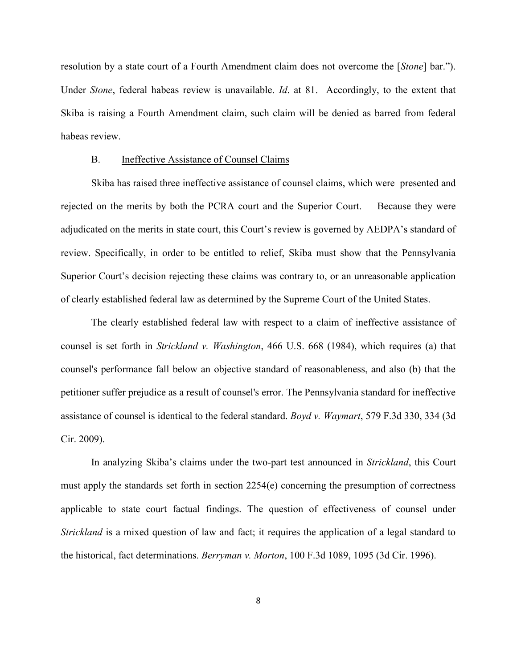resolution by a state court of a Fourth Amendment claim does not overcome the [*Stone*] bar."). Under *Stone*, federal habeas review is unavailable. *Id*. at 81. Accordingly, to the extent that Skiba is raising a Fourth Amendment claim, such claim will be denied as barred from federal habeas review.

### B. Ineffective Assistance of Counsel Claims

Skiba has raised three ineffective assistance of counsel claims, which were presented and rejected on the merits by both the PCRA court and the Superior Court. Because they were adjudicated on the merits in state court, this Court's review is governed by AEDPA's standard of review. Specifically, in order to be entitled to relief, Skiba must show that the Pennsylvania Superior Court's decision rejecting these claims was contrary to, or an unreasonable application of clearly established federal law as determined by the Supreme Court of the United States.

The clearly established federal law with respect to a claim of ineffective assistance of counsel is set forth in *Strickland v. Washington*, 466 U.S. 668 (1984), which requires (a) that counsel's performance fall below an objective standard of reasonableness, and also (b) that the petitioner suffer prejudice as a result of counsel's error. The Pennsylvania standard for ineffective assistance of counsel is identical to the federal standard. *Boyd v. Waymart*, 579 F.3d 330, 334 (3d Cir. 2009).

In analyzing Skiba's claims under the two-part test announced in *Strickland*, this Court must apply the standards set forth in section 2254(e) concerning the presumption of correctness applicable to state court factual findings. The question of effectiveness of counsel under *Strickland* is a mixed question of law and fact; it requires the application of a legal standard to the historical, fact determinations. *Berryman v. Morton*, 100 F.3d 1089, 1095 (3d Cir. 1996).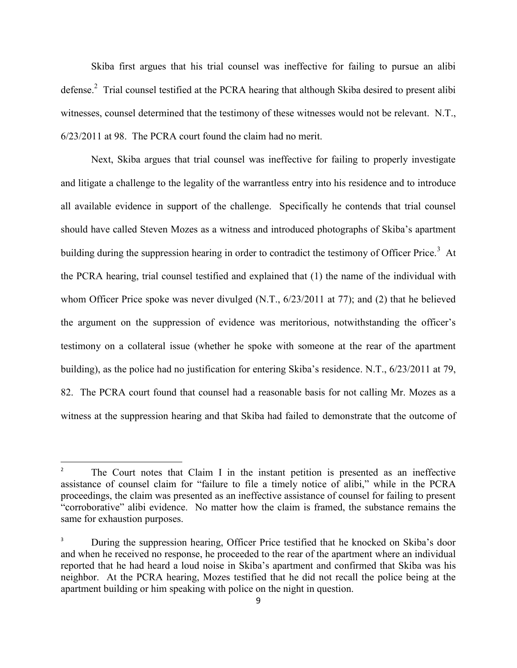Skiba first argues that his trial counsel was ineffective for failing to pursue an alibi defense.<sup>2</sup> Trial counsel testified at the PCRA hearing that although Skiba desired to present alibi witnesses, counsel determined that the testimony of these witnesses would not be relevant. N.T., 6/23/2011 at 98. The PCRA court found the claim had no merit.

Next, Skiba argues that trial counsel was ineffective for failing to properly investigate and litigate a challenge to the legality of the warrantless entry into his residence and to introduce all available evidence in support of the challenge. Specifically he contends that trial counsel should have called Steven Mozes as a witness and introduced photographs of Skiba's apartment building during the suppression hearing in order to contradict the testimony of Officer Price.<sup>3</sup> At the PCRA hearing, trial counsel testified and explained that (1) the name of the individual with whom Officer Price spoke was never divulged (N.T.,  $6/23/2011$  at 77); and (2) that he believed the argument on the suppression of evidence was meritorious, notwithstanding the officer's testimony on a collateral issue (whether he spoke with someone at the rear of the apartment building), as the police had no justification for entering Skiba's residence. N.T., 6/23/2011 at 79, 82. The PCRA court found that counsel had a reasonable basis for not calling Mr. Mozes as a witness at the suppression hearing and that Skiba had failed to demonstrate that the outcome of

l

<sup>2</sup> The Court notes that Claim I in the instant petition is presented as an ineffective assistance of counsel claim for "failure to file a timely notice of alibi," while in the PCRA proceedings, the claim was presented as an ineffective assistance of counsel for failing to present "corroborative" alibi evidence. No matter how the claim is framed, the substance remains the same for exhaustion purposes.

<sup>3</sup> During the suppression hearing, Officer Price testified that he knocked on Skiba's door and when he received no response, he proceeded to the rear of the apartment where an individual reported that he had heard a loud noise in Skiba's apartment and confirmed that Skiba was his neighbor. At the PCRA hearing, Mozes testified that he did not recall the police being at the apartment building or him speaking with police on the night in question.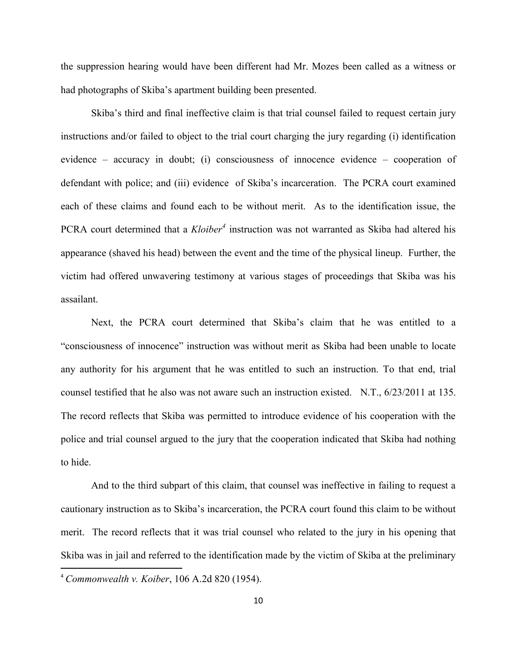the suppression hearing would have been different had Mr. Mozes been called as a witness or had photographs of Skiba's apartment building been presented.

Skiba's third and final ineffective claim is that trial counsel failed to request certain jury instructions and/or failed to object to the trial court charging the jury regarding (i) identification evidence – accuracy in doubt; (i) consciousness of innocence evidence – cooperation of defendant with police; and (iii) evidence of Skiba's incarceration. The PCRA court examined each of these claims and found each to be without merit. As to the identification issue, the PCRA court determined that a *Kloiber<sup>4</sup>* instruction was not warranted as Skiba had altered his appearance (shaved his head) between the event and the time of the physical lineup. Further, the victim had offered unwavering testimony at various stages of proceedings that Skiba was his assailant.

Next, the PCRA court determined that Skiba's claim that he was entitled to a "consciousness of innocence" instruction was without merit as Skiba had been unable to locate any authority for his argument that he was entitled to such an instruction. To that end, trial counsel testified that he also was not aware such an instruction existed. N.T., 6/23/2011 at 135. The record reflects that Skiba was permitted to introduce evidence of his cooperation with the police and trial counsel argued to the jury that the cooperation indicated that Skiba had nothing to hide.

And to the third subpart of this claim, that counsel was ineffective in failing to request a cautionary instruction as to Skiba's incarceration, the PCRA court found this claim to be without merit. The record reflects that it was trial counsel who related to the jury in his opening that Skiba was in jail and referred to the identification made by the victim of Skiba at the preliminary  $\overline{\phantom{a}}$ 

<sup>4</sup> *Commonwealth v. Koiber*, 106 A.2d 820 (1954).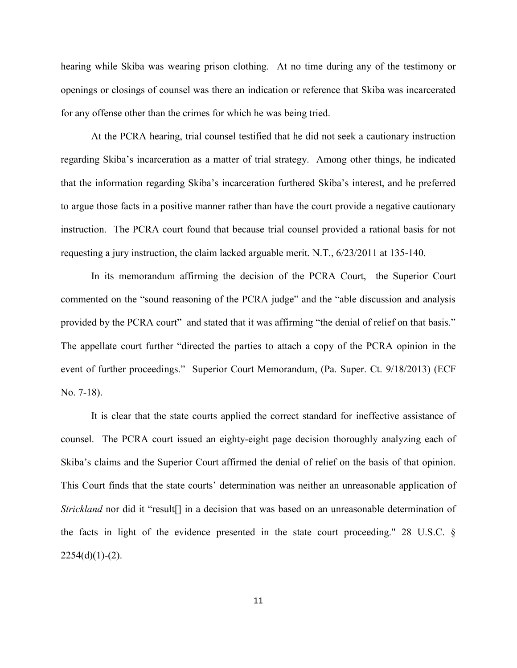hearing while Skiba was wearing prison clothing. At no time during any of the testimony or openings or closings of counsel was there an indication or reference that Skiba was incarcerated for any offense other than the crimes for which he was being tried.

At the PCRA hearing, trial counsel testified that he did not seek a cautionary instruction regarding Skiba's incarceration as a matter of trial strategy. Among other things, he indicated that the information regarding Skiba's incarceration furthered Skiba's interest, and he preferred to argue those facts in a positive manner rather than have the court provide a negative cautionary instruction. The PCRA court found that because trial counsel provided a rational basis for not requesting a jury instruction, the claim lacked arguable merit. N.T., 6/23/2011 at 135-140.

In its memorandum affirming the decision of the PCRA Court, the Superior Court commented on the "sound reasoning of the PCRA judge" and the "able discussion and analysis provided by the PCRA court" and stated that it was affirming "the denial of relief on that basis." The appellate court further "directed the parties to attach a copy of the PCRA opinion in the event of further proceedings." Superior Court Memorandum, (Pa. Super. Ct. 9/18/2013) (ECF No. 7-18).

It is clear that the state courts applied the correct standard for ineffective assistance of counsel. The PCRA court issued an eighty-eight page decision thoroughly analyzing each of Skiba's claims and the Superior Court affirmed the denial of relief on the basis of that opinion. This Court finds that the state courts' determination was neither an unreasonable application of *Strickland* nor did it "result<sup>[]</sup> in a decision that was based on an unreasonable determination of the facts in light of the evidence presented in the state court proceeding." 28 U.S.C. §  $2254(d)(1)-(2)$ .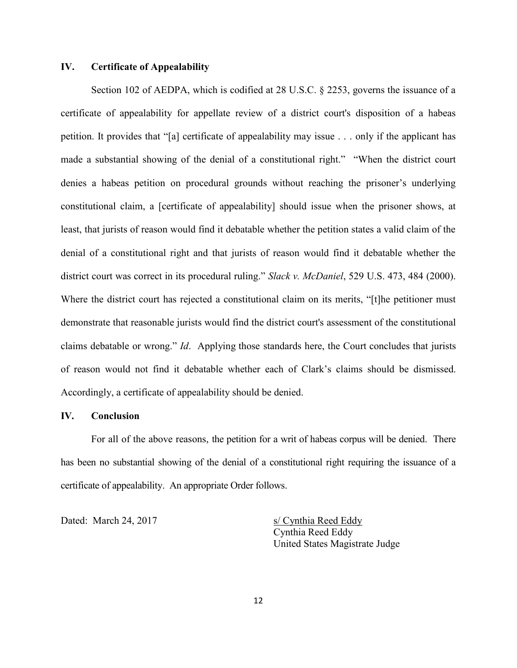## **IV. Certificate of Appealability**

Section 102 of AEDPA, which is codified at 28 U.S.C. § 2253, governs the issuance of a certificate of appealability for appellate review of a district court's disposition of a habeas petition. It provides that "[a] certificate of appealability may issue . . . only if the applicant has made a substantial showing of the denial of a constitutional right." "When the district court denies a habeas petition on procedural grounds without reaching the prisoner's underlying constitutional claim, a [certificate of appealability] should issue when the prisoner shows, at least, that jurists of reason would find it debatable whether the petition states a valid claim of the denial of a constitutional right and that jurists of reason would find it debatable whether the district court was correct in its procedural ruling." *Slack v. McDaniel*, 529 U.S. 473, 484 (2000). Where the district court has rejected a constitutional claim on its merits, "[t]he petitioner must demonstrate that reasonable jurists would find the district court's assessment of the constitutional claims debatable or wrong." *Id*. Applying those standards here, the Court concludes that jurists of reason would not find it debatable whether each of Clark's claims should be dismissed. Accordingly, a certificate of appealability should be denied.

### **IV. Conclusion**

For all of the above reasons, the petition for a writ of habeas corpus will be denied. There has been no substantial showing of the denial of a constitutional right requiring the issuance of a certificate of appealability. An appropriate Order follows.

Dated: March 24, 2017 s/ Cynthia Reed Eddy

Cynthia Reed Eddy United States Magistrate Judge